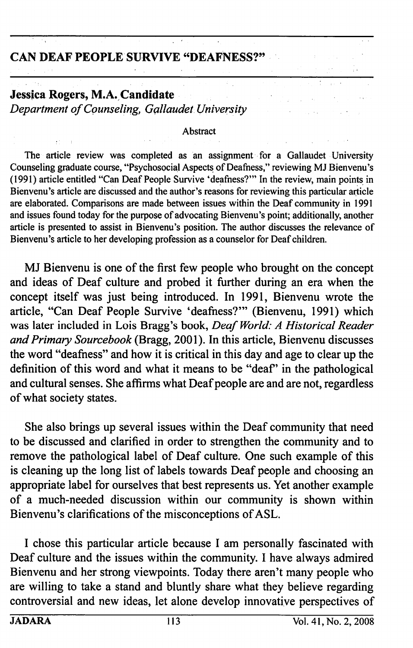## CAN DEAF PEOPLE SURVIVE "DEAFNESS?"

## Jessica Rogers, M.A. Candidate Department of Counseling, Gallaudet University

## Abstract

The article review was completed as an assignment for a Gallaudet University Counseling graduate course, "Psychosocial Aspects of Deafhess," reviewing MJ Bienvenu's (1991) article entitled "Can Deaf People Survive 'deafness?'" In the review, main points in Bienvenu's article are discussed and the author's reasons for reviewing this particular article are elaborated. Comparisons are made between issues within the Deaf community in 1991 and issues found today for the purpose of advocating Bienvenu's point; additionally, another article is presented to assist in Bienvenu's position. The author discusses the relevance of Bienvenu's article to her developing profession as a counselor for Deaf children.

MJ Bienvenu is one of the first few people who brought on the concept and ideas of Deaf culture and probed it further during an era when the concept itself was just being introduced. In 1991, Bienvenu wrote the article, "Can Deaf People Survive 'deafness?'" (Bienvenu, 1991) which was later included in Lois Bragg's book, Deaf World: A Historical Reader and Primary Sourcebook (Bragg, 2001). In this article, Bienvenu discusses the word "deafness" and how it is critical in this day and age to clear up the definition of this word and what it means to be "deaf" in the pathological and cultural senses. She affirms what Deaf people are and are not, regardless of what society states.

She also brings up several issues within the Deaf community that need to be discussed and clarified in order to strengthen the community and to remove the pathological label of Deaf culture. One such example of this is cleaning up the long list of labels towards Deaf people and choosing an appropriate label for ourselves that best represents us. Yet another example of a much-needed discussion within our community is shown within Bienvenu's clarifications of the misconceptions of ASL.

I chose this particular article because I am personally fascinated with Deaf culture and the issues within the community. I have always admired Bienvenu and her strong viewpoints. Today there aren't many people who are willing to take a stand and bluntly share what they believe regarding controversial and new ideas, let alone develop innovative perspectives of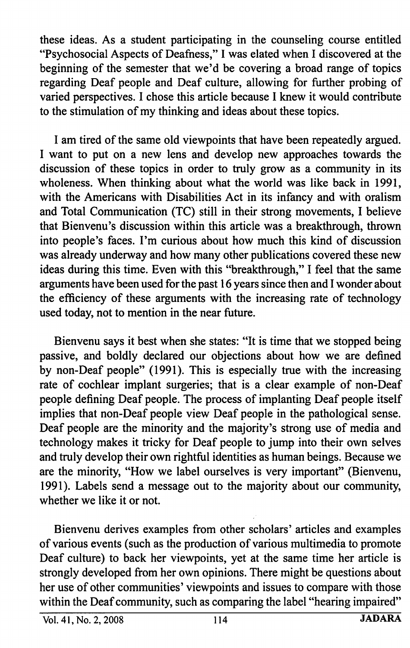these ideas. As a student participating in the counseling course entitled "Psychosocial Aspects of Deafness," I was elated when I discovered at the beginning of the semester that we'd be covering a broad range of topics regarding Deaf people and Deaf culture, allowing for further probing of varied perspectives. I chose this article because I knew it would contribute to the stimulation of my thinking and ideas about these topics.

I am tired of the same old viewpoints that have been repeatedly argued. I want to put on a new lens and develop new approaches towards the discussion of these topics in order to truly grow as a community in its wholeness. When thinking about what the world was like back in 1991, with the Americans with Disabilities Act in its infancy and with oralism and Total Communication (TC) still in their strong movements, I believe that Bienvenu's discussion within this article was a breakthrough, thrown into people's faces. I'm curious about how much this kind of discussion was already underway and how many other publications covered these new ideas during this time. Even with this "breakthrough," I feel that the same arguments have been used for the past 16 years since then and I wonder about the efficiency of these arguments with the increasing rate of technology used today, not to mention in the near future.

Bienvenu says it best when she states: "It is time that we stopped being passive, and boldly declared our objections about how we are defined by non-Deaf people" (1991). This is especially true with the increasing rate of cochlear implant surgeries; that is a clear example of non-Deaf people defining Deaf people. The process of implanting Deaf people itself implies that non-Deaf people view Deaf people in the pathological sense. Deaf people are the minority and the majority's strong use of media and technology makes it tricky for Deaf people to jump into their own selves and truly develop their own rightful identities as human beings. Because we are the minority, "How we label ourselves is very important" (Bienvenu, 1991). Labels send a message out to the majority about our community, whether we like it or not.

Bienvenu derives examples from other scholars' articles and examples of various events (such as the production of various multimedia to promote Deaf culture) to back her viewpoints, yet at the same time her article is strongly developed from her own opinions. There might be questions about her use of other communities' viewpoints and issues to compare with those within the Deaf community, such as comparing the label "hearing impaired"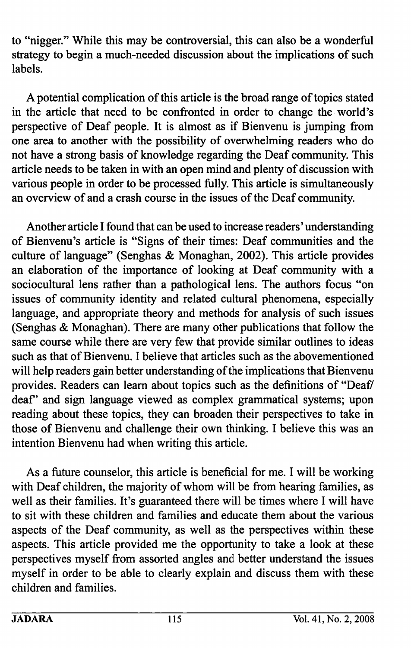to "nigger." While this may be controversial, this can also be a wonderful strategy to begin a much-needed discussion about the implications of such labels.

A potential complication of this article is the broad range of topics stated in the article that need to be confronted in order to change the world's perspective of Deaf people. It is almost as if Bienvenu is jumping from one area to another with the possibility of overwhelming readers who do not have a strong basis of knowledge regarding the Deaf community. This article needs to be taken in with an open mind and plenty of discussion with various people in order to be processed fiilly. This article is simultaneously an overview of and a crash course in the issues of the Deaf community.

Another article I found that can be used to increase readers' understanding of Bienvenu's article is "Signs of their times: Deaf communities and the culture of language" (Senghas & Monaghan, 2002). This article provides an elaboration of the importance of looking at Deaf community with a sociocultural lens rather than a pathological lens. The authors focus "on issues of community identity and related cultural phenomena, especially language, and appropriate theory and methods for analysis of such issues (Senghas & Monaghan). There are many other publications that follow the same course while there are very few that provide similar outlines to ideas such as that of Bienvenu. I believe that articles such as the abovementioned will help readers gain better understanding of the implications that Bienvenu provides. Readers can learn about topics such as the definitions of "Deaf/ deaf" and sign language viewed as complex grammatical systems; upon reading about these topics, they can broaden their perspectives to take in those of Bienvenu and challenge their own thinking. I believe this was an intention Bienvenu had when writing this article.

As a future counselor, this article is beneficial for me. I will be working with Deaf children, the majority of whom will be from hearing families, as well as their families. It's guaranteed there will be times where I will have to sit with these children and families and educate them about the various aspects of the Deaf community, as well as the perspectives within these aspects. This article provided me the opportunity to take a look at these perspectives myself from assorted angles and better understand the issues myself in order to be able to clearly explain and discuss them with these children and families.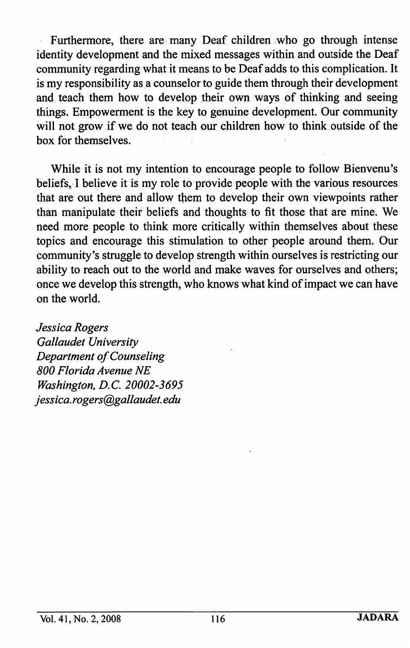Furthermore, there are many Deaf children who go through intense identity development and the mixed messages within and outside the Deaf community regarding what it means to be Deaf adds to this complication. It is my responsibility as a counselor to guide them through their development and teach them how to develop their own ways of thinking and seeing things. Empowerment is the key to genuine development. Our community will not grow if we do not teach our children how to think outside of the box for themselves.

While it is not my intention to encourage people to follow Bienvenu's beliefs, I believe it is my role to provide people with the various resources that are out there and allow them to develop their own viewpoints rather than manipulate their beliefs and thoughts to fit those that are mine. We need more people to think more critically within themselves about these topics and encourage this stimulation to other people around them. Our commimity's struggle to develop strength within ourselves is restricting our ability to reach out to the world and make waves for ourselves and others; once we develop this strength, who knows what kind of impact we can have on the world.

Jessica Rogers Gallaudet University Department of Counseling 800 Florida Avenue NE Washington, B.C. 20002-3695 Jessica. rogers@gallaudet. edu